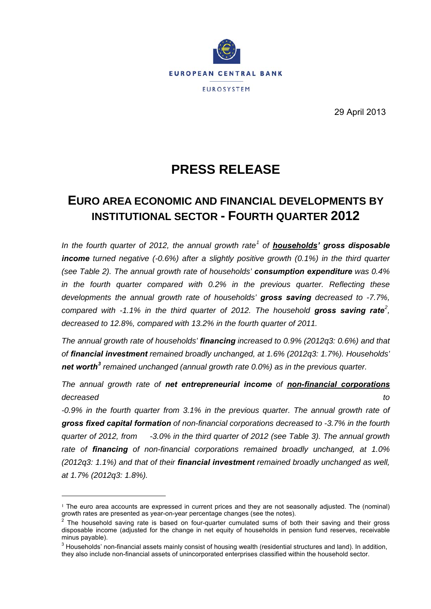

29 April 2013

# **PRESS RELEASE**

### **EURO AREA ECONOMIC AND FINANCIAL DEVELOPMENTS BY INSTITUTIONAL SECTOR - FOURTH QUARTER 2012**

*In the fourth quarter of 2012, the annual growth rate[1](#page-0-0) of households' gross disposable*  **income** *turned negative (-0.6%)* after a slightly positive growth (0.1%) in the third quarter *(see Table 2). The annual growth rate of households' consumption expenditure was 0.4% in the fourth quarter compared with 0.2% in the previous quarter. Reflecting these developments the annual growth rate of households' gross saving decreased to -7.7%, compared with -1.1% in the third quarter of 2012. The household gross saving rate[2](#page-0-1) , decreased to 12.8%, compared with 13.2% in the fourth quarter of 2011.*

*The annual growth rate of households' financing increased to 0.9% (2012q3: 0.6%) and that of financial investment remained broadly unchanged, at 1.6% (2012q3: 1.7%). Households' net worth[3](#page-0-2) remained unchanged (annual growth rate 0.0%) as in the previous quarter.*

*The annual growth rate of net entrepreneurial income of non-financial corporations decreased to*

*-0.9% in the fourth quarter from 3.1% in the previous quarter. The annual growth rate of gross fixed capital formation of non-financial corporations decreased to -3.7% in the fourth quarter of 2012, from -3.0% in the third quarter of 2012 (see Table 3). The annual growth rate of financing of non-financial corporations remained broadly unchanged, at 1.0% (2012q3: 1.1%) and that of their financial investment remained broadly unchanged as well, at 1.7% (2012q3: 1.8%).* 

<u>.</u>

<span id="page-0-0"></span><sup>1</sup> The euro area accounts are expressed in current prices and they are not seasonally adjusted. The (nominal) growth rates are presented as year-on-year percentage changes (see the notes).

<span id="page-0-1"></span> $2$  The household saving rate is based on four-quarter cumulated sums of both their saving and their gross disposable income (adjusted for the change in net equity of households in pension fund reserves, receivable minus payable).

<span id="page-0-2"></span> $3$  Households' non-financial assets mainly consist of housing wealth (residential structures and land). In addition, they also include non-financial assets of unincorporated enterprises classified within the household sector.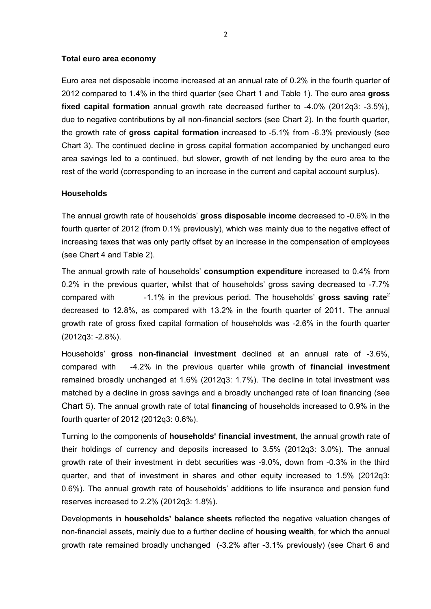#### **Total euro area economy**

Euro area net disposable income increased at an annual rate of 0.2% in the fourth quarter of 2012 compared to 1.4% in the third quarter (see Chart 1 and Table 1). The euro area **gross fixed capital formation** annual growth rate decreased further to -4.0% (2012q3: -3.5%), due to negative contributions by all non-financial sectors (see Chart 2). In the fourth quarter, the growth rate of **gross capital formation** increased to -5.1% from -6.3% previously (see Chart 3). The continued decline in gross capital formation accompanied by unchanged euro area savings led to a continued, but slower, growth of net lending by the euro area to the rest of the world (corresponding to an increase in the current and capital account surplus).

#### **Households**

The annual growth rate of households' **gross disposable income** decreased to -0.6% in the fourth quarter of 2012 (from 0.1% previously), which was mainly due to the negative effect of increasing taxes that was only partly offset by an increase in the compensation of employees (see Chart 4 and Table 2).

The annual growth rate of households' **consumption expenditure** increased to 0.4% from 0.2% in the previous quarter, whilst that of households' gross saving decreased to -7.7% compared with -1.1% in the previous period. The households' **gross saving rate**<sup>2</sup> decreased to 12.8%, as compared with 13.2% in the fourth quarter of 2011. The annual growth rate of gross fixed capital formation of households was -2.6% in the fourth quarter (2012q3: -2.8%).

Households' **gross non-financial investment** declined at an annual rate of -3.6%, compared with -4.2% in the previous quarter while growth of **financial investment** remained broadly unchanged at 1.6% (2012q3: 1.7%). The decline in total investment was matched by a decline in gross savings and a broadly unchanged rate of loan financing (see Chart 5). The annual growth rate of total **financing** of households increased to 0.9% in the fourth quarter of 2012 (2012q3: 0.6%).

Turning to the components of **households' financial investment**, the annual growth rate of their holdings of currency and deposits increased to 3.5% (2012q3: 3.0%). The annual growth rate of their investment in debt securities was -9.0%, down from -0.3% in the third quarter, and that of investment in shares and other equity increased to 1.5% (2012q3: 0.6%). The annual growth rate of households' additions to life insurance and pension fund reserves increased to 2.2% (2012q3: 1.8%).

Developments in **households' balance sheets** reflected the negative valuation changes of non-financial assets, mainly due to a further decline of **housing wealth**, for which the annual growth rate remained broadly unchanged (-3.2% after -3.1% previously) (see Chart 6 and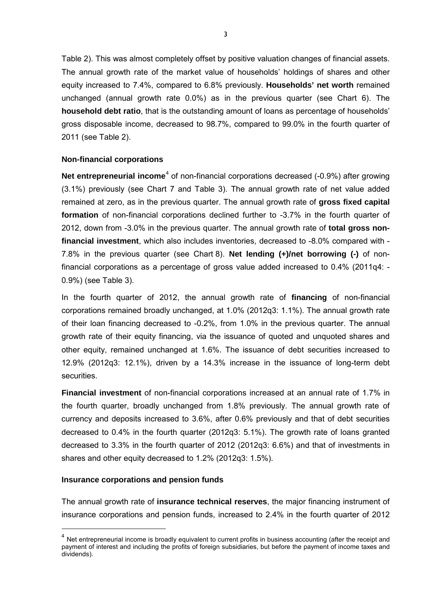Table 2). This was almost completely offset by positive valuation changes of financial assets. The annual growth rate of the market value of households' holdings of shares and other equity increased to 7.4%, compared to 6.8% previously. **Households' net worth** remained unchanged (annual growth rate 0.0%) as in the previous quarter (see Chart 6). The **household debt ratio**, that is the outstanding amount of loans as percentage of households' gross disposable income, decreased to 98.7%, compared to 99.0% in the fourth quarter of 2011 (see Table 2).

### **Non-financial corporations**

**Net entrepreneurial income**<sup>[4](#page-2-0)</sup> of non-financial corporations decreased (-0.9%) after growing (3.1%) previously (see Chart 7 and Table 3). The annual growth rate of net value added remained at zero, as in the previous quarter. The annual growth rate of **gross fixed capital formation** of non-financial corporations declined further to -3.7% in the fourth quarter of 2012, down from -3.0% in the previous quarter. The annual growth rate of **total gross nonfinancial investment**, which also includes inventories, decreased to -8.0% compared with - 7.8% in the previous quarter (see Chart 8). **Net lending (+)/net borrowing (-)** of nonfinancial corporations as a percentage of gross value added increased to 0.4% (2011q4: - 0.9%) (see Table 3).

In the fourth quarter of 2012, the annual growth rate of **financing** of non-financial corporations remained broadly unchanged, at 1.0% (2012q3: 1.1%). The annual growth rate of their loan financing decreased to -0.2%, from 1.0% in the previous quarter. The annual growth rate of their equity financing, via the issuance of quoted and unquoted shares and other equity, remained unchanged at 1.6%. The issuance of debt securities increased to 12.9% (2012q3: 12.1%), driven by a 14.3% increase in the issuance of long-term debt securities.

**Financial investment** of non-financial corporations increased at an annual rate of 1.7% in the fourth quarter, broadly unchanged from 1.8% previously. The annual growth rate of currency and deposits increased to 3.6%, after 0.6% previously and that of debt securities decreased to 0.4% in the fourth quarter (2012q3: 5.1%). The growth rate of loans granted decreased to 3.3% in the fourth quarter of 2012 (2012q3: 6.6%) and that of investments in shares and other equity decreased to 1.2% (2012q3: 1.5%).

#### **Insurance corporations and pension funds**

-

The annual growth rate of **insurance technical reserves**, the major financing instrument of insurance corporations and pension funds, increased to 2.4% in the fourth quarter of 2012

<span id="page-2-0"></span> $4$  Net entrepreneurial income is broadly equivalent to current profits in business accounting (after the receipt and payment of interest and including the profits of foreign subsidiaries, but before the payment of income taxes and dividends).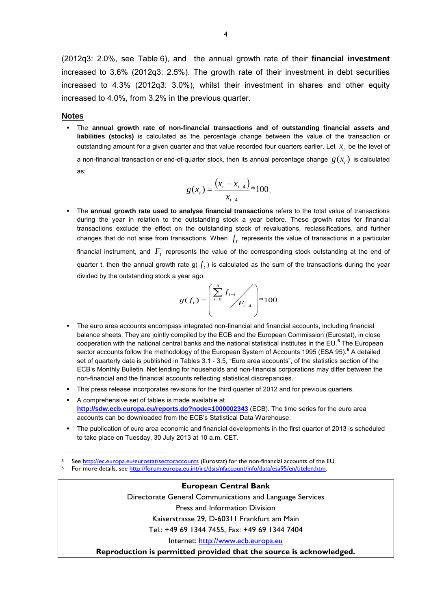(2012q3: 2.0%, see Table 6), and the annual growth rate of their **financial investment** increased to 3.6% (2012q3: 2.5%). The growth rate of their investment in debt securities increased to 4.3% (2012q3: 3.0%), whilst their investment in shares and other equity increased to 4.0%, from 3.2% in the previous quarter.

#### **Notes**

 The **annual growth rate of non-financial transactions and of outstanding financial assets and liabilities (stocks)** is calculated as the percentage change between the value of the transaction or outstanding amount for a given quarter and that value recorded four quarters earlier. Let  $x$ , be the level of a non-financial transaction or end-of-quarter stock, then its annual percentage change  $g(x<sub>r</sub>)$  is calculated

as:

<u>.</u>

$$
g(x_t) = \frac{\left(x_t - x_{t-4}\right)}{x_{t-4}} \cdot 100.
$$

 The **annual growth rate used to analyse financial transactions** refers to the total value of transactions during the year in relation to the outstanding stock a year before. These growth rates for financial transactions exclude the effect on the outstanding stock of revaluations, reclassifications, and further changes that do not arise from transactions. When  $f_t$  represents the value of transactions in a particular financial instrument, and  $F<sub>t</sub>$  represents the value of the corresponding stock outstanding at the end of quarter t, then the annual growth rate  $g(f_t)$  is calculated as the sum of the transactions during the year divided by the outstanding stock a year ago:

$$
g(f_t) = \left(\frac{\sum_{i=0}^{3} f_{t-i}}{F_{t-4}}\right) * 100
$$

- The euro area accounts encompass integrated non-financial and financial accounts, including financial balance sheets. They are jointly compiled by the ECB and the European Commission (Eurostat), in close cooperation with the national central banks and the national statistical institutes in the EU.**[5](#page-3-0)** The European sector accounts follow the methodology of the European System of Accounts 1995 (ESA 95).**[6](#page-3-1)** A detailed set of quarterly data is published in Tables 3.1 - 3.5, "Euro area accounts", of the statistics section of the ECB's Monthly Bulletin. Net lending for households and non-financial corporations may differ between the non-financial and the financial accounts reflecting statistical discrepancies.
- This press release incorporates revisions for the third quarter of 2012 and for previous quarters.
- A comprehensive set of tables is made available at **<http://sdw.ecb.europa.eu/reports.do?node=1000002343>** (ECB). The time series for the euro area accounts can be downloaded from the ECB's Statistical Data Warehouse.
- The publication of euro area economic and financial developments in the first quarter of 2013 is scheduled to take place on Tuesday, 30 July 2013 at 10 a.m. CET.

<span id="page-3-1"></span><span id="page-3-0"></span>See <http://ec.europa.eu/eurostat/sectoraccounts>(Eurostat) for the non-financial accounts of the EU.<br>For more details, see http://forum.europa.eu.int/irc/dsis/nfaccount/info/data/esa95/en/titelen.htm.

**European Central Bank** Directorate General Communications and Language Services Press and Information Division Kaiserstrasse 29, D-60311 Frankfurt am Main Tel.: +49 69 1344 7455, Fax: +49 69 1344 7404 Internet: [http://www.ecb.europa.eu](http://www.ecb.eu/) **Reproduction is permitted provided that the source is acknowledged.**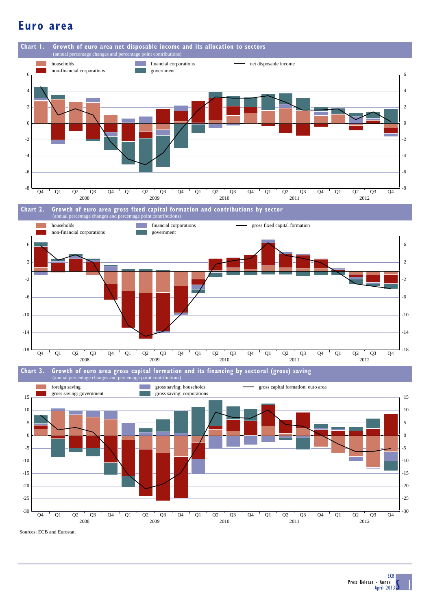# **Euro area**



Sources: ECB and Eurostat.

 $\mathsf{S}$  1 ECB Press Release - Annex April 2013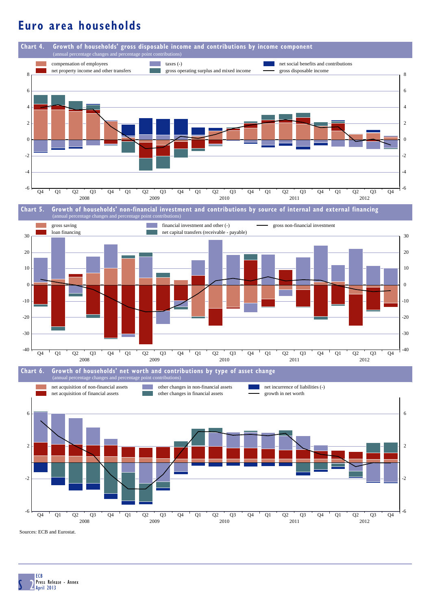# **Euro area households**



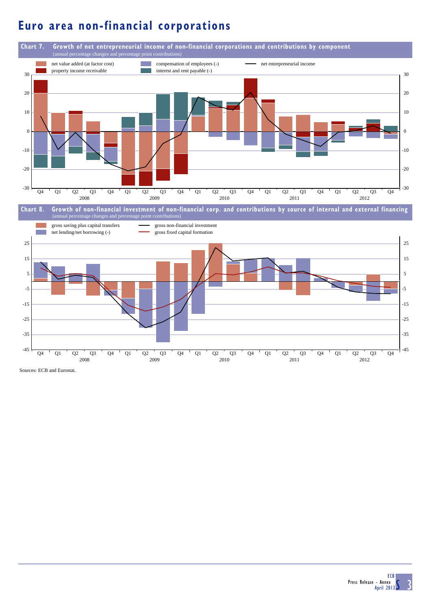# **Euro area non-financial corporations**



Sources: ECB and Eurostat.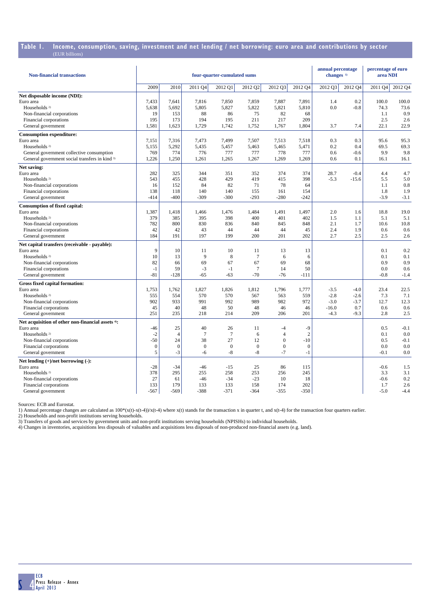# **Table 1. Income, consumption, saving, investment and net lending / net borrowing: euro area and contributions by sector**

| <b>Non-financial transactions</b>                 | four-quarter-cumulated sums |                  |                  |                  |                 |                |                  |         | annual percentage<br>changes <sup>1)</sup> | percentage of euro<br>area NDI |         |  |
|---------------------------------------------------|-----------------------------|------------------|------------------|------------------|-----------------|----------------|------------------|---------|--------------------------------------------|--------------------------------|---------|--|
|                                                   | 2009                        | 2010             | 2011 Q4          | 2012 Q1          | 2012 Q2         | 2012 03        | 2012 Q4          | 2012 Q3 | 2012 Q4                                    | 2011 Q4                        | 2012 Q4 |  |
| Net disposable income (NDI):                      |                             |                  |                  |                  |                 |                |                  |         |                                            |                                |         |  |
| Euro area                                         | 7,433                       | 7,641            | 7,816            | 7,850            | 7,859           | 7.887          | 7,891            | 1.4     | 0.2                                        | 100.0                          | 100.0   |  |
| Households <sup>2)</sup>                          | 5,638                       | 5,692            | 5,805            | 5,827            | 5,822           | 5,821          | 5,810            | 0.0     | $-0.8$                                     | 74.3                           | 73.6    |  |
| Non-financial corporations                        | 19                          | 153              | 88               | 86               | 75              | 82             | 68               |         |                                            | 1.1                            | 0.9     |  |
| Financial corporations                            | 195                         | 173              | 194              | 195              | 211             | 217            | 209              |         |                                            | 2.5                            | 2.6     |  |
| General government                                | 1,581                       | 1,623            | 1,729            | 1,742            | 1,752           | 1,767          | 1,804            | 3.7     | 7.4                                        | 22.1                           | 22.9    |  |
| <b>Consumption expenditure:</b>                   |                             |                  |                  |                  |                 |                |                  |         |                                            |                                |         |  |
| Euro area                                         | 7,151                       | 7.316            | 7,473            | 7.499            | 7.507           | 7.513          | 7,518            | 0.3     | 0.3                                        | 95.6                           | 95.3    |  |
| Households <sup>2)</sup>                          | 5,155                       | 5,292            | 5,435            | 5,457            | 5,463           | 5,465          | 5,471            | 0.2     | 0.4                                        | 69.5                           | 69.3    |  |
| General government collective consumption         | 769                         | 774              | 776              | 777              | 777             | 778            | 777              | 0.6     | $-0.6$                                     | 9.9                            | 9.8     |  |
| General government social transfers in kind 3)    | 1,226                       | 1,250            | 1,261            | 1,265            | 1,267           | 1,269          | 1,269            | 0.6     | 0.1                                        | 16.1                           | 16.1    |  |
| Net saving:                                       |                             |                  |                  |                  |                 |                |                  |         |                                            |                                |         |  |
| Euro area                                         | 282                         | 325              | 344              | 351              | 352             | 374            | 374              | 28.7    | $-0.4$                                     | 4.4                            | 4.7     |  |
| Households <sup>2)</sup>                          | 543                         | 455              | 428              | 429              | 419             | 415            | 398              | $-5.3$  | $-15.6$                                    | 5.5                            | 5.0     |  |
| Non-financial corporations                        | 16                          | 152              | 84               | 82               | 71              | 78             | 64               |         |                                            | 1.1                            | 0.8     |  |
| Financial corporations                            | 138                         | 118              | 140              | 140              | 155             | 161            | 154              |         |                                            | 1.8                            | 1.9     |  |
| General government                                | $-414$                      | $-400$           | $-309$           | $-300$           | $-293$          | $-280$         | $-242$           |         |                                            | $-3.9$                         | $-3.1$  |  |
| <b>Consumption of fixed capital:</b>              |                             |                  |                  |                  |                 |                |                  |         |                                            |                                |         |  |
| Euro area                                         | 1,387                       | 1,418            | 1,466            | 1,476            | 1,484           | 1,491          | 1,497            | 2.0     | 1.6                                        | 18.8                           | 19.0    |  |
| Households <sup>2)</sup>                          | 379                         | 385              | 395              | 398              | 400             | 401            | 402              | 1.5     | 1.1                                        | 5.1                            | 5.1     |  |
| Non-financial corporations                        | 782                         | 800              | 830              | 836              | 840             | 845            | 848              | 2.1     | 1.7                                        | 10.6                           | 10.8    |  |
| Financial corporations                            | 42                          | 42               | 43               | 44               | 44              | 44             | 45               | 2.4     | 1.9                                        | 0.6                            | 0.6     |  |
| General government                                | 184                         | 191              | 197              | 199              | 200             | 201            | 202              | 2.7     | 2.5                                        | 2.5                            | 2.6     |  |
| Net capital transfers (receivable - payable):     |                             |                  |                  |                  |                 |                |                  |         |                                            |                                |         |  |
| Euro area                                         | 9                           | 10               | 11               | 10               | 11              | 13             | 13               |         |                                            | 0.1                            | 0.2     |  |
| Households <sup>2)</sup>                          | 10                          | 13               | 9                | 8                | 7               | 6              | 6                |         |                                            | 0.1                            | 0.1     |  |
| Non-financial corporations                        | 82                          | 66               | 69               | 67               | 67              | 69             | 68               |         |                                            | 0.9                            | 0.9     |  |
| Financial corporations                            | $-1$                        | 59               | $-3$             | $-1$             | $7\phantom{.0}$ | 14             | 50               |         |                                            | 0.0                            | 0.6     |  |
| General government                                | $-81$                       | $-128$           | $-65$            | $-63$            | $-70$           | $-76$          | $-111$           |         |                                            | $-0.8$                         | $-1.4$  |  |
| Gross fixed capital formation:                    |                             |                  |                  |                  |                 |                |                  |         |                                            |                                |         |  |
| Euro area                                         | 1,753                       | 1,762            | 1,827            | 1,826            | 1,812           | 1,796          | 1,777            | $-3.5$  | $-4.0$                                     | 23.4                           | 22.5    |  |
| Households <sup>2)</sup>                          | 555                         | 554              | 570              | 570              | 567             | 563            | 559              | $-2.8$  | $-2.6$                                     | 7.3                            | 7.1     |  |
| Non-financial corporations                        | 902                         | 933              | 991              | 992              | 989             | 982            | 972              | $-3.0$  | $-3.7$                                     | 12.7                           | 12.3    |  |
| Financial corporations                            | 45                          | 40               | 48               | 50               | 48              | 46             | 46               | $-16.0$ | 0.7                                        | 0.6                            | 0.6     |  |
| General government                                | 251                         | 235              | 218              | 214              | 209             | 206            | 201              | $-4.3$  | $-9.3$                                     | 2.8                            | 2.5     |  |
| Net acquisition of other non-financial assets 4): |                             |                  |                  |                  |                 |                |                  |         |                                            |                                |         |  |
| Euro area                                         | $-46$                       | 25               | 40               | 26               | 11              | $-4$           | $-9$             |         |                                            | 0.5                            | $-0.1$  |  |
| Households <sup>2)</sup>                          | $-2$                        | $\overline{4}$   | $\overline{7}$   | $7\phantom{.0}$  | 6               | $\overline{4}$ | $\boldsymbol{2}$ |         |                                            | 0.1                            | 0.0     |  |
| Non-financial corporations                        | $-50$                       | 24               | 38               | 27               | 12              | $\mathbf{0}$   | $-10$            |         |                                            | 0.5                            | $-0.1$  |  |
| Financial corporations                            | $\mathbf{0}$                | $\boldsymbol{0}$ | $\boldsymbol{0}$ | $\boldsymbol{0}$ | $\overline{0}$  | $\overline{0}$ | $\boldsymbol{0}$ |         |                                            | 0.0                            | 0.0     |  |
| General government                                | 5                           | $-3$             | $-6$             | $-8$             | $-8$            | $-7$           | $-1$             |         |                                            | $-0.1$                         | 0.0     |  |
| Net lending $(+)/$ net borrowing $(-)$ :          |                             |                  |                  |                  |                 |                |                  |         |                                            |                                |         |  |
| Euro area                                         | $-28$                       | $-34$            | $-46$            | $-15$            | 25              | 86             | 115              |         |                                            | $-0.6$                         | 1.5     |  |
| Households <sup>2)</sup>                          | 378                         | 295              | 255              | 258              | 253             | 256            | 245              |         |                                            | 3.3                            | 3.1     |  |
| Non-financial corporations                        | 27                          | 61               | $-46$            | $-34$            | $-23$           | 10             | 18               |         |                                            | $-0.6$                         | 0.2     |  |
| Financial corporations                            | 133                         | 179              | 133              | 133              | 158             | 174            | 202              |         |                                            | 1.7                            | 2.6     |  |
| General government                                | $-567$                      | $-569$           | $-388$           | $-371$           | $-364$          | $-355$         | $-350$           |         |                                            | $-5.0$                         | $-4.4$  |  |

Sources: ECB and Eurostat.

1) Annual percentage changes are calculated as  $100*(x(t)-x(t-4))/x(t-4)$  where  $x(t)$  stands for the transaction x in quarter t, and  $x(t-4)$  for the transaction four quarters earlier.

2) Households and non-profit institutions serving households.

3) Transfers of goods and services by government units and non-profit institutions serving households (NPISHs) to individual households.<br>4) Changes in inventories, acquisitions less disposals of valuables and acquisitions

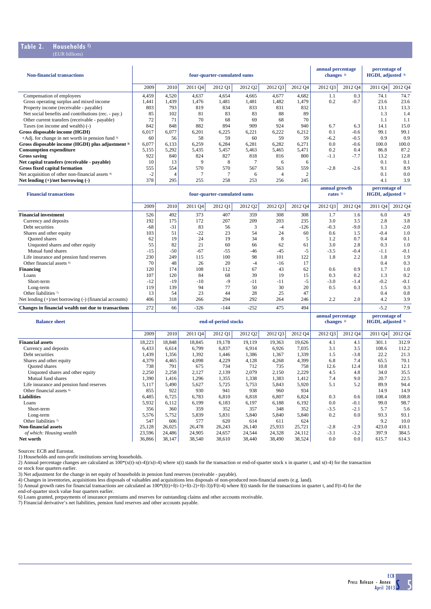#### **Table 2. Households 1)** (EUR billions)

| <b>Non-financial transactions</b>                            | four-quarter-cumulated sums |                |         |                             |                |                |              | annual percentage<br>changes <sup>2)</sup> |                                     | percentage of<br>HGDI, adjusted 3) |                                    |
|--------------------------------------------------------------|-----------------------------|----------------|---------|-----------------------------|----------------|----------------|--------------|--------------------------------------------|-------------------------------------|------------------------------------|------------------------------------|
|                                                              | 2009                        | 2010           | 2011 Q4 | 2012 Q1                     | 2012 Q2        | 2012 03        | 2012 Q4      | 2012 Q3                                    | 2012 Q4                             | 2011 O <sub>4</sub>                | 2012 Q4                            |
| Compensation of employees                                    | 4,459                       | 4,520          | 4,637   | 4,654                       | 4,665          | 4,677          | 4,682        | 1.1                                        | 0.3                                 | 74.1                               | 74.7                               |
| Gross operating surplus and mixed income                     | 1,441                       | 1,439          | 1,476   | 1,481                       | 1,481          | 1,482          | 1,479        | 0.2                                        | $-0.7$                              | 23.6                               | 23.6                               |
| Property income (receivable - payable)                       | 803                         | 793            | 819     | 834                         | 833            | 831            | 832          |                                            |                                     | 13.1                               | 13.3                               |
| Net social benefits and contributions (rec. - pay.)          | 85                          | 102            | 81      | 83                          | 83             | 88             | 89           |                                            |                                     | 1.3                                | 1.4                                |
| Other current transfers (receivable - payable)               | 72                          | 71             | 70      | 68                          | 69             | 68             | 70           |                                            |                                     | 1.1                                | 1.1                                |
| Taxes (on income and wealth) (-)                             | 842                         | 848            | 882     | 894                         | 909            | 924            | 940          | 6.7                                        | 6.3                                 | 14.1                               | 15.0                               |
| Gross disposable income (HGDI)                               | 6,017                       | 6,077          | 6,201   | 6,225                       | 6,221          | 6,222          | 6,212        | 0.1                                        | $-0.6$                              | 99.1                               | 99.1                               |
| +Adj. for change in net worth in pension fund 3)             | 60                          | 56             | 58      | 59                          | 60             | 59             | 59           | $-6.2$                                     | $-0.5$                              | 0.9                                | 0.9                                |
| Gross disposable income (HGDI) plus adjustment <sup>3)</sup> | 6,077                       | 6,133          | 6,259   | 6,284                       | 6,281          | 6,282          | 6,271        | 0.0                                        | -0.6                                | 100.0                              | 100.0                              |
| <b>Consumption expenditure</b>                               | 5,155                       | 5,292          | 5,435   | 5,457                       | 5,463          | 5,465          | 5,471        | 0.2                                        | 0.4                                 | 86.8                               | 87.2                               |
| <b>Gross saving</b>                                          | 922                         | 840            | 824     | 827                         | 818            | 816            | 800          | $-1.1$                                     | $-7.7$                              | 13.2                               | 12.8                               |
| Net capital transfers (receivable - payable)                 | 10                          | 13             | 9       | 8                           | $\overline{7}$ | 6              | 6            |                                            |                                     | 0.1                                | 0.1                                |
| <b>Gross fixed capital formation</b>                         | 555                         | 554            | 570     | 570                         | 567            | 563            | 559          | $-2.8$                                     | $-2.6$                              | 9.1                                | 8.9                                |
| Net acquisition of other non-financial assets 4)             | $-2$                        | $\overline{4}$ | 7       | 7                           | 6              | $\overline{4}$ | $\mathbf{2}$ |                                            |                                     | 0.1                                | 0.0                                |
| Net lending $(+)/$ net borrowing $(-)$                       | 378                         | 295            | 255     | 258                         | 253            | 256            | 245          |                                            |                                     | 4.1                                | 3.9                                |
| <b>Financial transactions</b>                                |                             |                |         | four-quarter-cumulated sums |                |                |              |                                            | annual growth<br>rates <sup>5</sup> |                                    | percentage of<br>HGDI, adjusted 3) |
|                                                              | 2009                        | 2010           | 2011 Q4 | 2012 Q1                     | 2012 Q2        | 2012 Q3        | 2012 Q4      | 2012 Q3                                    | 2012 Q4                             | 2011 Q4                            | 2012 Q4                            |
| <b>Financial investment</b>                                  | 526                         | 492            | 373     | 407                         | 359            | 308            | 308          | 1.7                                        | 1.6                                 | 6.0                                | 4.9                                |
| Currency and deposits                                        | 192                         | 175            | 172     | 207                         | 209            | 203            | 235          | 3.0                                        | 3.5                                 | 2.8                                | 3.8                                |
| Debt securities                                              | $-68$                       | $-31$          | 83      | 56                          | 3              | $-4$           | $-126$       | $-0.3$                                     | $-9.0$                              | 1.3                                | $-2.0$                             |
| Shares and other equity                                      | 103                         | 51             | $-22$   | 23                          | 54             | 24             | 60           | 0.6                                        | 1.5                                 | $-0.4$                             | 1.0                                |
| Quoted shares                                                | 62                          | 19             | 24      | 19                          | 34             | $\,8\,$        | 5            | 1.2                                        | 0.7                                 | 0.4                                | 0.1                                |
| Unquoted shares and other equity                             | 55                          | 82             | 21      | 60                          | 66             | 62             | 61           | 3.0                                        | 2.8                                 | 0.3                                | 1.0                                |
| Mutual fund shares                                           | $-15$                       | $-50$          | $-67$   | $-55$                       | $-46$          | $-45$          | $-5$         | $-3.5$                                     | $-0.4$                              | $-1.1$                             | $-0.1$                             |
| Life insurance and pension fund reserves                     | 230                         | 249            | 115     | 100                         | 98             | 101            | 122          | 1.8                                        | 2.2                                 | 1.8                                | 1.9                                |
| Other financial assets 6                                     | 70                          | 48             | 26      | 20                          | $-4$           | $-16$          | 17           |                                            |                                     | 0.4                                | 0.3                                |
| Financing                                                    | 120                         | 174            | 108     | 112                         | 67             | 43             | 62           | 0.6                                        | 0.9                                 | 1.7                                | 1.0                                |
| Loans                                                        | 107                         | 120            | 84      | 68                          | 39             | 19             | 15           | 0.3                                        | 0.2                                 | 1.3                                | 0.2                                |
| Short-term                                                   | $-12$                       | $-19$          | $-10$   | $-9$                        | $-11$          | $-11$          | $-5$         | $-3.0$                                     | $-1.4$                              | $-0.2$                             | $-0.1$                             |
| Long-term                                                    | 119                         | 139            | 94      | 77                          | 50             | 30             | 20           | 0.5                                        | 0.3                                 | 1.5                                | 0.3                                |
| Other liabilities <sup>7)</sup>                              | 13                          | 54             | 23      | 44                          | 28             | 25             | 47           |                                            |                                     | 0.4                                | 0.8                                |
| Net lending $(+)/$ net borrowing $(-)$ (financial accounts)  | 406                         | 318            | 266     | 294                         | 292            | 264            | 246          | 2.2                                        | 2.0                                 | 4.2                                | 3.9                                |
| Changes in financial wealth not due to transactions          | 272                         | 66             | $-326$  | $-144$                      | $-252$         | 475            | 494          |                                            |                                     | $-5.2$                             | 7.9                                |
| <b>Balance sheet</b>                                         |                             |                |         | end-of-period stocks        |                |                |              | annual percentage<br>changes <sup>2)</sup> |                                     | percentage of<br>HGDI, adjusted 3) |                                    |
|                                                              |                             |                |         |                             |                |                |              |                                            |                                     |                                    |                                    |

|                                          | 2009   | 2010   | 2011 Q4 | 2012 Q1 | 2012 Q2 | 2012 Q3 | 2012 Q4 | 2012 Q3 | 2012 Q4 | 2011 O <sub>4</sub> | 2012 Q4 |
|------------------------------------------|--------|--------|---------|---------|---------|---------|---------|---------|---------|---------------------|---------|
| <b>Financial assets</b>                  | 18,223 | 18,848 | 18,845  | 19,178  | 19,119  | 19,363  | 19,626  | 4.1     | 4.1     | 301.1               | 312.9   |
| Currency and deposits                    | 6,433  | 6,614  | 6,799   | 6,837   | 6,914   | 6,926   | 7,035   | 3.1     | 3.5     | 108.6               | 112.2   |
| Debt securities                          | 1,439  | 1,356  | 1,392   | 1,446   | 1,386   | 1,367   | 1,339   | 1.5     | $-3.8$  | 22.2                | 21.3    |
| Shares and other equity                  | 4,379  | 4,465  | 4,098   | 4,229   | 4,128   | 4,268   | 4,399   | 6.8     | 7.4     | 65.5                | 70.1    |
| <b>Ouoted</b> shares                     | 738    | 791    | 675     | 734     | 712     | 735     | 758     | 12.6    | 12.4    | 10.8                | 12.1    |
| Unquoted shares and other equity         | 2,250  | 2,258  | 2,127   | 2,139   | 2,079   | 2,150   | 2,229   | 4.5     | 4.8     | 34.0                | 35.5    |
| Mutual fund shares                       | 1,390  | 1,416  | 1,296   | 1,355   | 1,338   | 1,383   | 1,412   | 7.4     | 9.0     | 20.7                | 22.5    |
| Life insurance and pension fund reserves | 5,117  | 5,490  | 5,627   | 5,725   | 5,753   | 5,843   | 5,920   | 5.1     | 5.2     | 89.9                | 94.4    |
| Other financial assets <sup>6)</sup>     | 855    | 922    | 930     | 941     | 938     | 960     | 934     |         |         | 14.9                | 14.9    |
| <b>Liabilities</b>                       | 6,485  | 6,725  | 6.783   | 6,810   | 6,818   | 6,807   | 6,824   | 0.3     | 0.6     | 108.4               | 108.8   |
| Loans                                    | 5,932  | 6.112  | 6.199   | 6,183   | 6,197   | 6.188   | 6,192   | 0.0     | $-0.1$  | 99.0                | 98.7    |
| Short-term                               | 356    | 360    | 359     | 352     | 357     | 348     | 352     | $-3.5$  | $-2.1$  | 5.7                 | 5.6     |
| Long-term                                | 5,576  | 5,752  | 5,839   | 5,831   | 5,840   | 5,840   | 5,840   | 0.2     | 0.0     | 93.3                | 93.1    |
| Other liabilities $\sqrt[n]{ }$          | 547    | 606    | 577     | 620     | 614     | 611     | 624     |         |         | 9.2                 | 10.0    |
| <b>Non-financial assets</b>              | 25.128 | 26,025 | 26,478  | 26,243  | 26,140  | 25,933  | 25,721  | $-2.8$  | $-2.9$  | 423.0               | 410.1   |
| of which: Housing wealth                 | 23,596 | 24,486 | 24,905  | 24,657  | 24,544  | 24,328  | 24,112  | $-3.1$  | $-3.2$  | 397.9               | 384.5   |
| Net worth                                | 36,866 | 38,147 | 38,540  | 38,610  | 38,440  | 38,490  | 38,524  | 0.0     | 0.0     | 615.7               | 614.3   |

Sources: ECB and Eurostat.

1) Households and non-profit institutions serving households.<br>2) Annual percentage changes are calculated as 100\*(x(t)-x(t-4))/x(t-4) where x(t) stands for the transaction or end-of-quarter stock x in quarter t, and x(t-4) or stock four quarters earlier.

3) Net adjustment for the change in net equity of households in pension fund reserves (receivable - payable).<br>4) Changes in inventories, acquisitions less disposals of valuables and acquisitions less disposals of non-produ

6) Loans granted, prepayments of insurance premiums and reserves for outstanding claims and other accounts receivable. 7) Financial derivative's net liabilities, pension fund reserves and other accounts payable.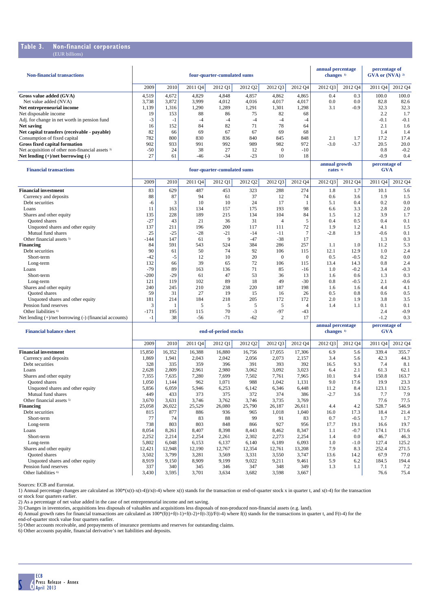### **Table 3. Non-financial corporations**

| <b>Non-financial transactions</b>                           |        |       |         | four-quarter-cumulated sums |         |                |                | annual percentage<br>changes <sup>1)</sup> |         | percentage of<br>GVA or (NVA) <sup>2)</sup> |         |  |
|-------------------------------------------------------------|--------|-------|---------|-----------------------------|---------|----------------|----------------|--------------------------------------------|---------|---------------------------------------------|---------|--|
|                                                             | 2009   | 2010  | 2011 Q4 | 2012 Q1                     | 2012 Q2 | 2012 Q3        | 2012 Q4        | 2012 Q3                                    | 2012 Q4 | 2011 Q4                                     | 2012 Q4 |  |
| Gross value added (GVA)                                     | 4,519  | 4,672 | 4,829   | 4,848                       | 4,857   | 4,862          | 4,865          | 0.4                                        | 0.3     | 100.0                                       | 100.0   |  |
| Net value added (NVA)                                       | 3,738  | 3,872 | 3,999   | 4,012                       | 4,016   | 4,017          | 4,017          | 0.0                                        | 0.0     | 82.8                                        | 82.6    |  |
| Net entrepreneurial income                                  | 1,139  | 1,316 | 1,290   | 1,289                       | 1,291   | 1,301          | 1,298          | 3.1                                        | $-0.9$  | 32.3                                        | 32.3    |  |
| Net disposable income                                       | 19     | 153   | 88      | 86                          | 75      | 82             | 68             |                                            |         | 2.2                                         | 1.7     |  |
| Adj. for change in net worth in pension fund                | $-3$   | $-1$  | $-4$    | $-4$                        | $-4$    | $-4$           | $-4$           |                                            |         | $-0.1$                                      | $-0.1$  |  |
| <b>Net saving</b>                                           | 16     | 152   | 84      | 82                          | 71      | 78             | 64             |                                            |         | 2.1                                         | 1.6     |  |
| Net capital transfers (receivable - payable)                | 82     | 66    | 69      | 67                          | 67      | 69             | 68             |                                            |         | 1.4                                         | 1.4     |  |
| Consumption of fixed capital                                | 782    | 800   | 830     | 836                         | 840     | 845            | 848            | 2.1                                        | 1.7     | 17.2                                        | 17.4    |  |
| <b>Gross fixed capital formation</b>                        | 902    | 933   | 991     | 992                         | 989     | 982            | 972            | $-3.0$                                     | $-3.7$  | 20.5                                        | 20.0    |  |
| Net acquisition of other non-financial assets <sup>3)</sup> | $-50$  | 24    | 38      | 27                          | 12      | $\mathbf{0}$   | $-10$          |                                            |         | 0.8                                         | $-0.2$  |  |
| Net lending $(+)/$ net borrowing $(-)$                      | 27     | 61    | $-46$   | $-34$                       | $-23$   | 10             | 18             |                                            |         | $-0.9$                                      | 0.4     |  |
|                                                             |        |       |         |                             |         |                |                | annual growth                              |         | percentage of                               |         |  |
| <b>Financial transactions</b>                               |        |       |         | four-quarter-cumulated sums |         |                |                | rates <sup>4)</sup>                        |         | <b>GVA</b>                                  |         |  |
|                                                             | 2009   | 2010  | 2011 Q4 | 2012 Q1                     | 2012 Q2 | 2012 Q3        | 2012 Q4        | 2012 03                                    | 2012 Q4 | 2011 Q4                                     | 2012 Q4 |  |
| <b>Financial investment</b>                                 | 83     | 629   | 487     | 453                         | 323     | 288            | 274            | 1.8                                        | 1.7     | 10.1                                        | 5.6     |  |
| Currency and deposits                                       | 88     | 87    | 94      | 61                          | 37      | 12             | 74             | 0.6                                        | 3.6     | 1.9                                         | 1.5     |  |
| Debt securities                                             | $-6$   | 3     | 10      | 10                          | 24      | 17             | 1              | 5.1                                        | 0.4     | 0.2                                         | 0.0     |  |
| Loans                                                       | 11     | 163   | 134     | 157                         | 175     | 193            | 98             | 6.6                                        | 3.3     | 2.8                                         | 2.0     |  |
| Shares and other equity                                     | 135    | 228   | 189     | 215                         | 134     | 104            | 84             | 1.5                                        | 1.2     | 3.9                                         | 1.7     |  |
| <b>Ouoted shares</b>                                        | $-27$  | 43    | 21      | 36                          | 31      | $\overline{4}$ | 5              | 0.4                                        | 0.5     | 0.4                                         | 0.1     |  |
| Unquoted shares and other equity                            | 137    | 211   | 196     | 200                         | 117     | 111            | 72             | 1.9                                        | 1.2     | 4.1                                         | 1.5     |  |
| Mutual fund shares                                          | 25     | $-25$ | $-28$   | $-21$                       | $-14$   | $-11$          | $\overline{7}$ | $-2.8$                                     | 1.9     | $-0.6$                                      | 0.1     |  |
| Other financial assets <sup>5)</sup>                        | $-144$ | 147   | 61      | 9                           | $-47$   | $-38$          | 17             |                                            |         | 1.3                                         | 0.3     |  |
| <b>Financing</b>                                            | 84     | 591   | 543     | 524                         | 384     | 286            | 257            | 1.1                                        | 1.0     | 11.2                                        | 5.3     |  |
| Debt securities                                             | 90     | 61    | 50      | 74                          | 92      | 106            | 115            | 12.1                                       | 12.9    | 1.0                                         | 2.4     |  |
| Short-term                                                  | $-42$  | $-5$  | 12      | 10                          | 20      | $\mathbf{0}$   | $\theta$       | 0.5                                        | $-0.5$  | 0.2                                         | 0.0     |  |
| Long-term                                                   | 132    | 66    | 39      | 65                          | 72      | 106            | 115            | 13.4                                       | 14.3    | 0.8                                         | 2.4     |  |
| Loans                                                       | $-79$  | 89    | 163     | 136                         | 71      | 85             | $-16$          | 1.0                                        | $-0.2$  | 3.4                                         | $-0.3$  |  |
| Short-term                                                  | $-200$ | $-29$ | 61      | 47                          | 53      | 36             | 13             | 1.6                                        | 0.6     | 1.3                                         | 0.3     |  |
| Long-term                                                   | 121    | 119   | 102     | 89                          | 18      | 49             | $-30$          | 0.8                                        | $-0.5$  | 2.1                                         | $-0.6$  |  |
| Shares and other equity                                     | 240    | 245   | 210     | 238                         | 220     | 187            | 198            | 1.6                                        | 1.6     | 4.4                                         | 4.1     |  |
| <b>Ouoted</b> shares                                        | 59     | 31    | 27      | 19                          | 15      | 16             | 26             | 0.5                                        | 0.8     | 0.6                                         | 0.5     |  |
| Unquoted shares and other equity                            | 181    | 214   | 184     | 218                         | 205     | 172            | 172            | 2.0                                        | 1.9     | 3.8                                         | 3.5     |  |
| Pension fund reserves                                       | 3      | -1    | 5       | 5                           | 5       | 5              | $\overline{4}$ | 1.4                                        | 1.1     | 0.1                                         | 0.1     |  |
| Other liabilities <sup>6)</sup>                             | $-171$ | 195   | 115     | 70                          | $-3$    | $-97$          | $-43$          |                                            |         | 2.4                                         | $-0.9$  |  |
| Net lending (+)/net borrowing (-) (financial accounts)      | $-1$   | 38    | $-56$   | $-71$                       | $-62$   | 2              | 17             |                                            |         | $-1.2$                                      | 0.3     |  |

| <b>Financial balance sheet</b>       | end-of-period stocks |        |         |         |         |         |         | annual percentage<br>changes <sup>1)</sup> |         | percentage of<br><b>GVA</b> |         |  |
|--------------------------------------|----------------------|--------|---------|---------|---------|---------|---------|--------------------------------------------|---------|-----------------------------|---------|--|
|                                      | 2009                 | 2010   | 2011 Q4 | 2012 Q1 | 2012 Q2 | 2012 Q3 | 2012 Q4 | 2012 Q3                                    | 2012 Q4 | 2011 Q4                     | 2012 Q4 |  |
| <b>Financial investment</b>          | 15,850               | 16,352 | 16,388  | 16,880  | 16,756  | 17,055  | 17,306  | 6.9                                        | 5.6     | 339.4                       | 355.7   |  |
| Currency and deposits                | 1,869                | 1,941  | 2,043   | 2,042   | 2,056   | 2,073   | 2,157   | 3.4                                        | 5.6     | 42.3                        | 44.3    |  |
| Debt securities                      | 328                  | 335    | 359     | 396     | 391     | 393     | 392     | 16.5                                       | 9.3     | 7.4                         | 8.1     |  |
| Loans                                | 2,628                | 2,809  | 2,961   | 2,980   | 3,062   | 3,092   | 3,023   | 6.4                                        | 2.1     | 61.3                        | 62.1    |  |
| Shares and other equity              | 7,355                | 7,635  | 7,280   | 7,699   | 7,502   | 7,761   | 7,965   | 10.1                                       | 9.4     | 150.8                       | 163.7   |  |
| <b>Ouoted</b> shares                 | 1,050                | 1,144  | 962     | 1,071   | 988     | 1,042   | 1,131   | 9.0                                        | 17.6    | 19.9                        | 23.3    |  |
| Unquoted shares and other equity     | 5,856                | 6,059  | 5,946   | 6,253   | 6,142   | 6,346   | 6,448   | 11.2                                       | 8.4     | 123.1                       | 132.5   |  |
| Mutual fund shares                   | 449                  | 433    | 373     | 375     | 372     | 374     | 386     | $-2.7$                                     | 3.6     | 7.7                         | 7.9     |  |
| Other financial assets <sup>5)</sup> | 3,670                | 3,631  | 3,746   | 3,762   | 3,746   | 3,735   | 3,769   |                                            |         | 77.6                        | 77.5    |  |
| <b>Financing</b>                     | 25,058               | 26,022 | 25,529  | 26,080  | 25,790  | 26,187  | 26,611  | 4.4                                        | 4.2     | 528.7                       | 546.9   |  |
| Debt securities                      | 815                  | 877    | 886     | 936     | 965     | 1,018   | 1,040   | 16.0                                       | 17.3    | 18.4                        | 21.4    |  |
| Short-term                           | 77                   | 74     | 83      | 88      | 99      | 91      | 83      | 0.7                                        | $-0.5$  | 1.7                         | 1.7     |  |
| Long-term                            | 738                  | 803    | 803     | 848     | 866     | 927     | 956     | 17.7                                       | 19.1    | 16.6                        | 19.7    |  |
| Loans                                | 8,054                | 8,261  | 8,407   | 8,398   | 8,443   | 8,462   | 8,347   | 1.1                                        | $-0.7$  | 174.1                       | 171.6   |  |
| Short-term                           | 2,252                | 2,214  | 2,254   | 2,261   | 2,302   | 2,273   | 2,254   | 1.4                                        | 0.0     | 46.7                        | 46.3    |  |
| Long-term                            | 5,802                | 6,048  | 6,153   | 6,137   | 6,140   | 6,189   | 6,093   | 1.0                                        | $-1.0$  | 127.4                       | 125.2   |  |
| Shares and other equity              | 12,421               | 12,948 | 12,190  | 12,767  | 12,354  | 12,761  | 13,208  | 7.9                                        | 8.3     | 252.4                       | 271.5   |  |
| <b>Ouoted</b> shares                 | 3,502                | 3,799  | 3,281   | 3,569   | 3,331   | 3,550   | 3,747   | 13.6                                       | 14.2    | 67.9                        | 77.0    |  |
| Unquoted shares and other equity     | 8,919                | 9,150  | 8,909   | 9,199   | 9,022   | 9,211   | 9,461   | 5.9                                        | 6.2     | 184.5                       | 194.4   |  |
| Pension fund reserves                | 337                  | 340    | 345     | 346     | 347     | 348     | 349     | 1.3                                        | 1.1     | 7.1                         | 7.2     |  |
| Other liabilities <sup>6)</sup>      | 3,430                | 3,595  | 3,701   | 3,634   | 3,682   | 3,598   | 3,667   |                                            |         | 76.6                        | 75.4    |  |

Sources: ECB and Eurostat.

1) Annual percentage changes are calculated as 100\*(x(t)-x(t-4))/x(t-4) where x(t) stands for the transaction or end-of-quarter stock x in quarter t, and x(t-4) for the transaction

or stock four quarters earlier.<br>2) As a percentage of net value added in the case of net entrepreneurial income and net saving.<br>3) Changes in inventories, acquisitions less disposals of valuables and acquisitions less disp

end-of-quarter stock value four quarters earlier.

5) Other accounts receivable, and prepayments of insurance premiums and reserves for outstanding claims. 6) Other accounts payable, financial derivative's net liabilities and deposits.

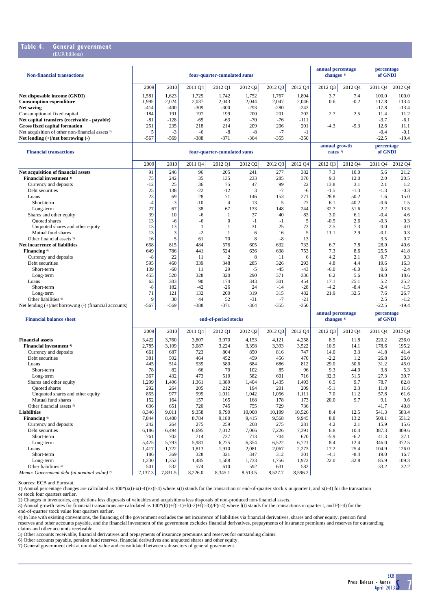#### **Table 4. General government** (EUR billions)

| <b>Non-financial transactions</b>                           |        |        | four-quarter-cumulated sums | annual percentage<br>changes $1$ |         | percentage<br>of GNDI |        |         |         |                     |         |
|-------------------------------------------------------------|--------|--------|-----------------------------|----------------------------------|---------|-----------------------|--------|---------|---------|---------------------|---------|
|                                                             | 2009   | 2010   | 2011 Q4                     | 2012 Q1                          | 2012 Q2 | 2012 03               | 2012O4 | 2012 03 | 2012 Q4 | 2011 O <sub>4</sub> | 2012 Q4 |
| Net disposable income (GNDI)                                | 1,581  | 1,623  | 1.729                       | 1.742                            | 1,752   | 1.767                 | 1.804  | 3.7     | 7.4     | 100.0               | 100.0   |
| <b>Consumption expenditure</b>                              | 1,995  | 2.024  | 2.037                       | 2,043                            | 2,044   | 2.047                 | 2,046  | 0.6     | $-0.2$  | 117.8               | 113.4   |
| Net saving                                                  | $-414$ | $-400$ | $-309$                      | $-300$                           | $-293$  | $-280$                | $-242$ |         |         | $-17.8$             | $-13.4$ |
| Consumption of fixed capital                                | 184    | 191    | 197                         | 199                              | 200     | 201                   | 202    | 2.7     | 2.5     | 11.4                | 11.2    |
| Net capital transfers (receivable - payable)                | $-81$  | $-128$ | $-65$                       | $-63$                            | $-70$   | $-76$                 | $-111$ |         |         | $-3.7$              | $-6.1$  |
| <b>Gross fixed capital formation</b>                        | 251    | 235    | 218                         | 214                              | 209     | 206                   | 201    | $-4.3$  | $-9.3$  | 12.6                | 11.1    |
| Net acquisition of other non-financial assets <sup>2)</sup> |        | $-1$   | -6                          | $-8$                             | $-8$    | - 1                   | - 1    |         |         | $-0.4$              | $-0.1$  |
| Net lending $(+)/$ net borrowing $(-)$                      | $-567$ | $-569$ | $-388$                      | $-371$                           | $-364$  | $-355$                | $-350$ |         |         | $-22.5$             | $-19.4$ |

| <b>Financial transactions</b>                               | four-quarter-cumulated sums |        |         |                |         |         |         |         | annual growth<br>rates $3$ | percentage<br>of GNDI |         |
|-------------------------------------------------------------|-----------------------------|--------|---------|----------------|---------|---------|---------|---------|----------------------------|-----------------------|---------|
|                                                             | 2009                        | 2010   | 2011 Q4 | 2012 Q1        | 2012 Q2 | 2012 Q3 | 2012 Q4 | 2012 Q3 | 2012 Q4                    | 2011 Q4               | 2012 Q4 |
| Net acquisition of financial assets                         | 91                          | 246    | 96      | 205            | 241     | 277     | 382     | 7.3     | 10.0                       | 5.6                   | 21.2    |
| Financial investment <sup>4)</sup>                          | 75                          | 242    | 35      | 135            | 233     | 285     | 370     | 9.3     | 12.0                       | 2.0                   | 20.5    |
| Currency and deposits                                       | $-12$                       | 25     | 36      | 75             | 47      | 99      | 22      | 13.8    | 3.1                        | 2.1                   | 1.2     |
| Debt securities                                             | 25                          | 138    | $-22$   | $-12$          | 3       | $-7$    | -6      | $-1.5$  | $-1.3$                     | $-1.3$                | $-0.3$  |
| Loans                                                       | 23                          | 69     | 28      | 71             | 146     | 153     | 271     | 28.8    | 50.2                       | 1.6                   | 15.0    |
| Short-term                                                  | $-4$                        |        | $-10$   | 4              | 13      | 5       | 27      | 6.1     | 40.2                       | $-0.6$                | 1.5     |
| Long-term                                                   | 27                          | 67     | 38      | 67             | 133     | 148     | 244     | 32.7    | 51.6                       | 2.2                   | 13.5    |
| Shares and other equity                                     | 39                          | 10     | $-6$    |                | 37      | 40      | 83      | 3.0     | 6.1                        | $-0.4$                | 4.6     |
| <b>Ouoted</b> shares                                        | 13                          | -6     | -6      | 0              | -1      | $-1$    | 5       | $-0.5$  | 2.6                        | $-0.3$                | 0.3     |
| Unquoted shares and other equity                            | 13                          | 13     |         |                | 31      | 25      | 73      | 2.5     | 7.3                        | 0.0                   | 4.0     |
| Mutual fund shares                                          | 13                          |        | $-2$    |                | 6       | 16      | 5       | 11.1    | 2.9                        | $-0.1$                | 0.3     |
| Other financial assets <sup>5)</sup>                        | 16                          |        | 61      | 70             | 8       | $-8$    | 13      |         |                            | 3.5                   | 0.7     |
| Net incurrence of liabilities                               | 658                         | 815    | 484     | 576            | 605     | 632     | 733     | 6.7     | 7.8                        | 28.0                  | 40.6    |
| Financing <sup>4)</sup>                                     | 649                         | 786    | 441     | 524            | 636     | 638     | 753     | 7.3     | 8.6                        | 25.5                  | 41.8    |
| Currency and deposits                                       | $-8$                        | 22     | 11      | $\overline{2}$ | 8       | 11      | 6       | 4.2     | 2.1                        | 0.7                   | 0.3     |
| Debt securities                                             | 595                         | 460    | 339     | 348            | 285     | 326     | 293     | 4.8     | 4.4                        | 19.6                  | 16.3    |
| Short-term                                                  | 139                         | $-60$  | 11      | 29             | $-5$    | $-45$   | $-43$   | $-6.0$  | $-6.0$                     | 0.6                   | $-2.4$  |
| Long-term                                                   | 455                         | 520    | 328     | 320            | 290     | 371     | 336     | 6.2     | 5.6                        | 19.0                  | 18.6    |
| Loans                                                       | 63                          | 303    | 90      | 174            | 343     | 301     | 454     | 17.1    | 25.1                       | 5.2                   | 25.2    |
| Short-term                                                  | $-8$                        | 182    | $-42$   | $-26$          | 24      | $-14$   | $-28$   | $-4.2$  | $-8.4$                     | $-2.4$                | $-1.5$  |
| Long-term                                                   | 71                          | 121    | 132     | 200            | 319     | 315     | 482     | 21.9    | 32.5                       | 7.6                   | 26.7    |
| Other liabilities <sup>6)</sup>                             | 9                           | 30     | 44      | 52             | $-31$   | $-7$    | $-21$   |         |                            | 2.5                   | $-1.2$  |
| Net lending $(+)/$ net borrowing $(-)$ (financial accounts) | $-567$                      | $-569$ | $-388$  | $-371$         | $-364$  | $-355$  | $-350$  |         |                            | $-22.5$               | $-19.4$ |

| <b>Financial balance sheet</b>                         |         |         | end-of-period stocks |         | annual percentage<br>changes <sup>1)</sup> |         | percentage<br>of GNDI |         |         |         |         |
|--------------------------------------------------------|---------|---------|----------------------|---------|--------------------------------------------|---------|-----------------------|---------|---------|---------|---------|
|                                                        | 2009    | 2010    | 2011 Q4              | 2012 Q1 | 2012 Q2                                    | 2012 Q3 | 2012 Q4               | 2012 Q3 | 2012 Q4 | 2011 Q4 | 2012 Q4 |
| <b>Financial assets</b>                                | 3,422   | 3,760   | 3,807                | 3,970   | 4,153                                      | 4,121   | 4,258                 | 8.5     | 11.8    | 220.2   | 236.0   |
| Financial investment <sup>4)</sup>                     | 2,785   | 3,109   | 3,087                | 3,224   | 3,398                                      | 3,393   | 3,522                 | 10.9    | 14.1    | 178.6   | 195.2   |
| Currency and deposits                                  | 661     | 687     | 723                  | 804     | 850                                        | 816     | 747                   | 14.0    | 3.3     | 41.8    | 41.4    |
| Debt securities                                        | 381     | 502     | 464                  | 452     | 459                                        | 456     | 470                   | $-2.2$  | 1.2     | 26.8    | 26.0    |
| Loans                                                  | 445     | 514     | 539                  | 580     | 684                                        | 686     | 812                   | 29.0    | 50.6    | 31.2    | 45.0    |
| Short-term                                             | 78      | 82      | 66                   | 70      | 102                                        | 85      | 96                    | 9.3     | 44.0    | 3.8     | 5.3     |
| Long-term                                              | 367     | 432     | 473                  | 510     | 582                                        | 601     | 716                   | 32.3    | 51.5    | 27.3    | 39.7    |
| Shares and other equity                                | 1,299   | 1,406   | 1,361                | 1,389   | 1,404                                      | 1,435   | 1,493                 | 6.5     | 9.7     | 78.7    | 82.8    |
| <b>Ouoted</b> shares                                   | 292     | 264     | 205                  | 212     | 194                                        | 201     | 209                   | $-5.1$  | 2.3     | 11.8    | 11.6    |
| Unquoted shares and other equity                       | 855     | 977     | 999                  | 1,011   | 1,042                                      | 1,056   | 1,111                 | 7.0     | 11.2    | 57.8    | 61.6    |
| Mutual fund shares                                     | 152     | 164     | 157                  | 165     | 168                                        | 178     | 173                   | 20.0    | 9.7     | 9.1     | 9.6     |
| Other financial assets <sup>5)</sup>                   | 636     | 651     | 720                  | 745     | 755                                        | 729     | 736                   |         |         | 41.7    | 40.8    |
| <b>Liabilities</b>                                     | 8,346   | 9,011   | 9,358                | 9,790   | 10,008                                     | 10,199  | 10,526                | 8.4     | 12.5    | 541.3   | 583.4   |
| Financing 4)                                           | 7,844   | 8,480   | 8,784                | 9,180   | 9,415                                      | 9,568   | 9,945                 | 8.8     | 13.2    | 508.1   | 551.2   |
| Currency and deposits                                  | 242     | 264     | 275                  | 259     | 268                                        | 275     | 281                   | 4.2     | 2.1     | 15.9    | 15.6    |
| Debt securities                                        | 6,186   | 6,494   | 6,695                | 7,012   | 7,066                                      | 7,226   | 7,391                 | 6.8     | 10.4    | 387.3   | 409.6   |
| Short-term                                             | 761     | 702     | 714                  | 737     | 713                                        | 704     | 670                   | $-5.9$  | $-6.2$  | 41.3    | 37.1    |
| Long-term                                              | 5,425   | 5,793   | 5,981                | 6,275   | 6,354                                      | 6,522   | 6,721                 | 8.4     | 12.4    | 346.0   | 372.5   |
| Loans                                                  | 1,417   | 1,722   | 1,813                | 1,910   | 2,081                                      | 2,067   | 2,273                 | 17.2    | 25.4    | 104.9   | 126.0   |
| Short-term                                             | 186     | 369     | 328                  | 321     | 347                                        | 312     | 301                   | $-4.1$  | $-8.4$  | 19.0    | 16.7    |
| Long-term                                              | 1,230   | 1,352   | 1,485                | 1,588   | 1,733                                      | 1,756   | 1,972                 | 22.0    | 32.8    | 85.9    | 109.3   |
| Other liabilities <sup>6)</sup>                        | 501     | 532     | 574                  | 610     | 592                                        | 631     | 582                   |         |         | 33.2    | 32.2    |
| Memo: Government debt (at nominal value) <sup>7)</sup> | 7,137.3 | 7,831.5 | 8,226.0              | 8,345.1 | 8,513.5                                    | 8,527.7 | 8,596.2               |         |         |         |         |

Sources: ECB and Eurostat.

1) Annual percentage changes are calculated as 100\*(x(t)-x(t-4))/x(t-4) where x(t) stands for the transaction or end-of-quarter stock x in quarter t, and x(t-4) for the transaction

or stock four quarters earlier.<br>2) Changes in inventories, acquisitions less disposals of valuables and acquisitions less disposals of non-produced non-financial assets.<br>3) Annual growth rates for financial transactions ar

end-of-quarter stock value four quarters earlier.

4) In line with existing conventions, the financing of the government excludes the net incurrence of liabilities via financial derivatives, shares and other equity, pension fund reserves and other accounts payable, and the financial investment of the government excludes financial derivatives, prepayments of insurance premiums and reserves for outstanding

claims and other accounts receivable.

5) Other accounts receivable, financial derivatives and prepayments of insurance premiums and reserves for outstanding claims.<br>6) Other accounts payable, pension fund reserves, financial derivatives and unquoted shares and

7) General government debt at nominal value and consolidated between sub-sectors of general government.

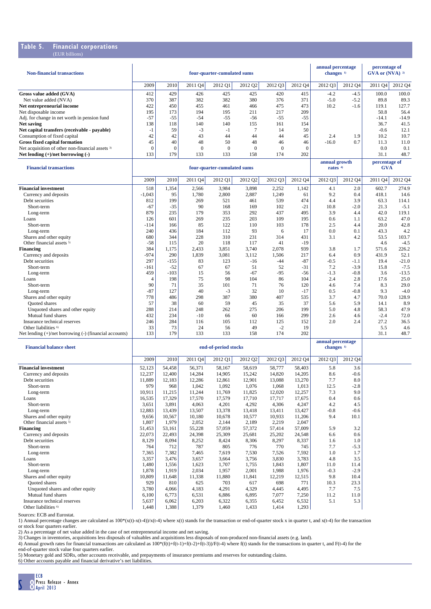#### **Table 5. Financial corporations**  $(FIR)$  billi

| <b>Non-financial transactions</b>                                 | four-quarter-cumulated sums |                |                 |                             |                       |                 |                 |                                            | annual percentage<br>changes <sup>1)</sup> | percentage of<br>GVA or $(NVA)$ 2) |              |
|-------------------------------------------------------------------|-----------------------------|----------------|-----------------|-----------------------------|-----------------------|-----------------|-----------------|--------------------------------------------|--------------------------------------------|------------------------------------|--------------|
|                                                                   | 2009                        | 2010           | 2011 Q4         | 2012 Q1                     | 2012 Q2               | 2012 Q3         | 2012 Q4         | 2012 Q3                                    | 2012 Q4                                    | 2011 Q4                            | 2012 Q4      |
| Gross value added (GVA)                                           | 412                         | 429            | 426             | 425                         | 425                   | 420             | 415             | $-4.2$                                     | $-4.5$                                     | 100.0                              | 100.0        |
| Net value added (NVA)                                             | 370                         | 387            | 382             | 382                         | 380                   | 376             | 371             | $-5.0$                                     | $-5.2$                                     | 89.8                               | 89.3         |
| Net entrepreneurial income                                        | 422                         | 450            | 455             | 461                         | 466                   | 475             | 473             | 10.2                                       | $-1.6$                                     | 119.1                              | 127.7        |
| Net disposable income                                             | 195                         | 173            | 194             | 195                         | 211                   | 217             | 209             |                                            |                                            | 50.8                               | 56.4         |
| Adj. for change in net worth in pension fund                      | $-57$                       | $-55$          | $-54$           | $-55$                       | $-56$                 | $-55$           | $-55$           |                                            |                                            | $-14.1$                            | $-14.9$      |
| <b>Net saving</b><br>Net capital transfers (receivable - payable) | 138<br>$-1$                 | 118<br>59      | 140<br>$-3$     | 140<br>$-1$                 | 155<br>$\overline{7}$ | 161<br>14       | 154<br>50       |                                            |                                            | 36.7<br>$-0.6$                     | 41.5<br>12.1 |
| Consumption of fixed capital                                      | 42                          | 42             | 43              | 44                          | 44                    | 44              | 45              | 2.4                                        | 1.9                                        | 10.2                               | 10.7         |
| <b>Gross fixed capital formation</b>                              | 45                          | 40             | 48              | 50                          | 48                    | 46              | 46              | $-16.0$                                    | 0.7                                        | 11.3                               | 11.0         |
| Net acquisition of other non-financial assets <sup>3)</sup>       | $\bf{0}$                    | $\theta$       | $\mathbf{0}$    | $\mathbf{0}$                | $\mathbf{0}$          | $\mathbf{0}$    | $\mathbf{0}$    |                                            |                                            | 0.0                                | 0.1          |
| Net lending $(+)/$ net borrowing $(-)$                            | 133                         | 179            | 133             | 133                         | 158                   | 174             | 202             |                                            |                                            | 31.1                               | 48.7         |
| <b>Financial transactions</b>                                     |                             |                |                 | four-quarter-cumulated sums |                       |                 |                 | annual growth<br>rates $40$                |                                            | percentage of<br><b>GVA</b>        |              |
|                                                                   | 2009                        | 2010           | 2011 Q4         | 2012 Q1                     | 2012 Q <sub>2</sub>   | 2012 Q3         | 2012 Q4         | 2012 Q3                                    | 2012 Q4                                    | 2011 Q4                            | 2012 Q4      |
| <b>Financial investment</b>                                       | 518                         | 1,354          | 2,566           | 3,984                       | 3,898                 | 2,252           | 1,142           | 4.1                                        | 2.0                                        | 602.7                              | 274.9        |
| Currency and deposits                                             | $-1,043$                    | 95             | 1,780           | 2,800                       | 2,887                 | 1,249           | 61              | 9.2                                        | 0.4                                        | 418.1                              | 14.6         |
| Debt securities                                                   | 812                         | 199            | 269             | 521                         | 461                   | 539             | 474             | 4.4                                        | 3.9                                        | 63.3                               | 114.1        |
| Short-term                                                        | $-67$                       | $-35$          | 90              | 168                         | 169                   | 102             | $-21$           | 10.8                                       | $-2.0$                                     | 21.3                               | $-5.1$       |
| Long-term                                                         | 879                         | 235            | 179             | 353                         | 292                   | 437             | 495             | 3.9                                        | 4.4                                        | 42.0                               | 119.1        |
| Loans                                                             | 126                         | 601            | 269             | 235<br>122                  | 203                   | 109             | 195             | 0.6<br>2.5                                 | 1.1                                        | 63.2<br>20.0                       | 47.0         |
| Short-term<br>Long-term                                           | -114<br>240                 | 166<br>436     | 85<br>184       | 112                         | 110<br>93             | 103<br>6        | 178<br>17       | 0.0                                        | 4.4<br>0.1                                 | 43.3                               | 42.8<br>4.2  |
| Shares and other equity                                           | 680                         | 344            | 228             | 310                         | 231                   | 314             | 431             | 3.1                                        | 4.2                                        | 53.5                               | 103.7        |
| Other financial assets <sup>5)</sup>                              | $-58$                       | 115            | 20              | 118                         | 117                   | 41              | $-19$           |                                            |                                            | 4.6                                | $-4.5$       |
| <b>Financing</b>                                                  | 384                         | 1,175          | 2,433           | 3,851                       | 3,740                 | 2,078           | 939             | 3.8                                        | 1.7                                        | 571.6                              | 226.2        |
| Currency and deposits                                             | $-974$                      | 290            | 1,839           | 3,081                       | 3,112                 | 1,506           | 217             | 6.4                                        | 0.9                                        | 431.9                              | 52.1         |
| Debt securities                                                   | 297                         | $-155$         | 83              | 123                         | $-16$                 | $-44$           | $-87$           | $-0.5$                                     | $-1.1$                                     | 19.4                               | $-21.0$      |
| Short-term                                                        | -161                        | $-52$          | 67              | 67                          | 51                    | 52              | $-31$           | 7.2                                        | $-3.9$                                     | 15.8                               | $-7.5$       |
| Long-term                                                         | 459                         | $-103$         | 15              | 56                          | $-67$                 | $-95$           | $-56$           | $-1.3$                                     | $-0.8$                                     | 3.6                                | $-13.5$      |
| Loans                                                             | $\overline{4}$<br>90        | 198<br>71      | 75<br>35        | 98                          | 104<br>71             | 86              | 104<br>120      | 2.4                                        | 2.8                                        | 17.6<br>8.3                        | 25.0<br>29.0 |
| Short-term<br>Long-term                                           | $-87$                       | 127            | 40              | 101<br>$-3$                 | 32                    | 76<br>10        | $-17$           | 4.6<br>0.5                                 | 7.4<br>$-0.8$                              | 9.3                                | $-4.0$       |
| Shares and other equity                                           | 778                         | 486            | 298             | 387                         | 380                   | 407             | 535             | 3.7                                        | 4.7                                        | 70.0                               | 128.9        |
| Quoted shares                                                     | 57                          | 38             | 60              | 59                          | 45                    | 35              | 37              | 5.6                                        | 5.9                                        | 14.1                               | 8.9          |
| Unquoted shares and other equity                                  | 288                         | 214            | 248             | 262                         | 275                   | 206             | 199             | 5.0                                        | 4.8                                        | 58.3                               | 47.9         |
| Mutual fund shares                                                | 432                         | 234            | $-10$           | 66                          | 60                    | 166             | 299             | 2.6                                        | 4.6                                        | $-2.4$                             | 72.0         |
| Insurance technical reserves                                      | 246                         | 284            | 116             | 105                         | 112                   | 125             | 152             | 2.0                                        | 2.4                                        | 27.2                               | 36.5         |
| Other liabilities <sup>6)</sup>                                   | 33                          | 73             | 24              | 56                          | 49                    | $-2$            | 19              |                                            |                                            | 5.5                                | 4.6          |
| Net lending $(+)/$ net borrowing $(-)$ (financial accounts)       | 133                         | 179            | 133             | 133                         | 158                   | 174             | 202             |                                            |                                            | 31.1                               | 48.7         |
| <b>Financial balance sheet</b>                                    |                             |                |                 | end-of-period stocks        |                       |                 |                 | annual percentage<br>changes <sup>1)</sup> |                                            |                                    |              |
|                                                                   | 2009                        | 2010           | 2011 Q4         | 2012 Q1                     | 2012 Q2               | 2012 Q3         | 2012 Q4         | 2012 Q3                                    | 2012 Q4                                    |                                    |              |
| <b>Financial investment</b>                                       | 52,123                      | 54,458         | 56,371          | 58,167                      | 58,619                | 58,777          | 58,403          | 5.8                                        | 3.6                                        |                                    |              |
| Currency and deposits                                             | 12,237                      | 12,400         | 14,284          | 14,905                      | 15,242                | 14,820          | 14,205          | 8.6                                        | $-0.6$                                     |                                    |              |
| Debt securities                                                   | 11,889                      | 12,183         | 12,286          | 12,861                      | 12,901                | 13,088          | 13,270          | 7.7                                        | 8.0                                        |                                    |              |
| Short-term<br>Long-term                                           | 979<br>10,911               | 968<br>11,215  | 1,042<br>11,244 | 1,092<br>11,769             | 1,076<br>11,825       | 1,068<br>12,020 | 1,013<br>12,257 | 12.5<br>7.3                                | $-2.8$<br>9.0                              |                                    |              |
| Loans                                                             | 16,535                      | 17,329         | 17,570          | 17,579                      | 17,710                | 17,717          | 17,675          | 0.4                                        | 0.6                                        |                                    |              |
| Short-term                                                        | 3,651                       | 3,891          | 4,063           | 4,201                       | 4,292                 | 4,306           | 4,247           | 4.2                                        | 4.5                                        |                                    |              |
| Long-term                                                         | 12,883                      | 13,439         | 13,507          | 13,378                      | 13,418                | 13,411          | 13,427          | $-0.8$                                     | $-0.6$                                     |                                    |              |
| Shares and other equity                                           | 9,656                       | 10,567         | 10,180          | 10,678                      | 10,577                | 10,933          | 11,206          | 9.4                                        | 10.1                                       |                                    |              |
| Other financial assets <sup>5)</sup>                              | 1,807                       | 1,979          | 2,052           | 2,144                       | 2,189                 | 2,219           | 2,047           |                                            |                                            |                                    |              |
| Financing                                                         | 51,453                      | 53,161         | 55,228          | 57,059                      | 57,372                | 57,414          | 57,009          | 5.9                                        | 3.2                                        |                                    |              |
| Currency and deposits                                             | 22,073                      | 22,493         | 24,398          | 25,309                      | 25,681                | 25,202          | 24,548          | 6.6                                        | 0.6                                        |                                    |              |
| Debt securities                                                   | 8,129                       | 8,094          | 8,252           | 8,424                       | 8,306                 | 8,297           | 8,337           | 1.6                                        | 1.0                                        |                                    |              |
| Short-term                                                        | 764                         | 712            | 787             | 805                         | 776                   | 770             | 745             | 7.7                                        | -5.3                                       |                                    |              |
| Long-term<br>Loans                                                | 7,365<br>3,357              | 7,382<br>3,476 | 7,465<br>3,657  | 7,619<br>3,664              | 7,530<br>3,756        | 7,526<br>3,830  | 7,592<br>3,783  | 1.0<br>4.8                                 | 1.7<br>3.5                                 |                                    |              |
| Short-term                                                        | 1,480                       | 1,556          | 1,623           | 1,707                       | 1,755                 | 1,843           | 1,807           | 11.0                                       | 11.4                                       |                                    |              |
| Long-term                                                         | 1,878                       | 1,919          | 2,034           | 1,957                       | 2,001                 | 1,988           | 1,976           | $-0.3$                                     | $-2.9$                                     |                                    |              |
| Shares and other equity                                           | 10,809                      | 11,648         | 11,338          | 11,880                      | 11,841                | 12,219          | 12,515          | 9.8                                        | 10.4                                       |                                    |              |
| Quoted shares                                                     | 929                         | 810            | 625             | 703                         | 617                   | 698             | 771             | 10.3                                       | 23.3                                       |                                    |              |
| Unquoted shares and other equity                                  | 3,780                       | 4,066          | 4,183           | 4,291                       | 4,329                 | 4,445           | 4,495           | 7.7                                        | 7.5                                        |                                    |              |
| Mutual fund shares                                                | 6,100                       | 6,773          | 6,531           | 6,886                       | 6,895                 | 7,077           | 7,250           | 11.2                                       | 11.0                                       |                                    |              |
| Insurance technical reserves                                      | 5,637                       | 6,062          | 6,203           | 6,322                       | 6,355                 | 6,452           | 6,532           | 5.1                                        | 5.3                                        |                                    |              |
| Other liabilities <sup>6)</sup>                                   | 1,448                       | 1,388          | 1,379           | 1,460                       | 1,433                 | 1,414           | 1,293           |                                            |                                            |                                    |              |

Sources: ECB and Eurostat.

1) Annual percentage changes are calculated as  $100*(x(t)-x(t-4))/x(t-4)$  where  $x(t)$  stands for the transaction or end-of-quarter stock x in quarter t, and  $x(t-4)$  for the transaction

or stock four quarters earlier. 2) As a percentage of net value added in the case of net entrepreneurial income and net saving.

3) Changes in inventories, acquisitions less disposals of valuables and acquisitions less disposals of non-produced non-financial assets (e.g. land).

4) Annual growth rates for financial transactions are calculated as  $100*(f(t)+(t-1)+(t-2)+(t-3))/F(t-4)$  where  $f(t)$  stands for the transactions in quarter t, and  $F(t-4)$  for the

end-of-quarter stock value four quarters earlier.

5) Monetary gold and SDRs, other accounts receivable, and prepayments of insurance premiums and reserves for outstanding claims. 6) Other accounts payable and financial derivative's net liabilities.